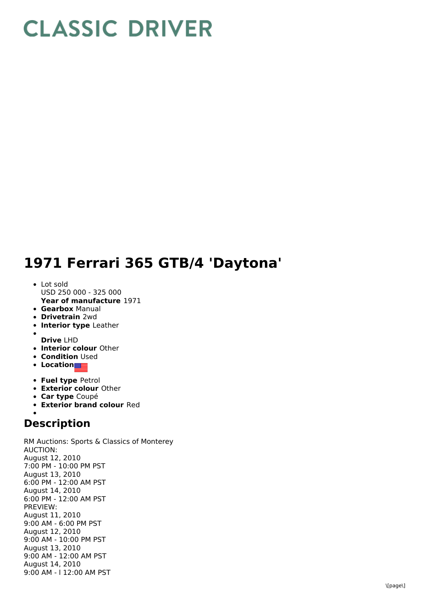## **CLASSIC DRIVER**

## **1971 Ferrari 365 GTB/4 'Daytona'**

- **Year of manufacture** 1971 • Lot sold USD 250 000 - 325 000
- 
- **Gearbox** Manual
- **Drivetrain** 2wd
- **Interior type** Leather
- **Drive** LHD
- **Interior colour** Other
- **Condition Used**
- **Location**
- **Fuel type** Petrol
- **Exterior colour** Other
- **Car type** Coupé
- **Exterior brand colour** Red

## **Description**

RM Auctions: Sports & Classics of Monterey AUCTION: August 12, 2010 7:00 PM - 10:00 PM PST August 13, 2010 6:00 PM - 12:00 AM PST August 14, 2010 6:00 PM - 12:00 AM PST PREVIEW: August 11, 2010 9:00 AM - 6:00 PM PST August 12, 2010 9:00 AM - 10:00 PM PST August 13, 2010 9:00 AM - 12:00 AM PST August 14, 2010 9:00 AM - l 12:00 AM PST